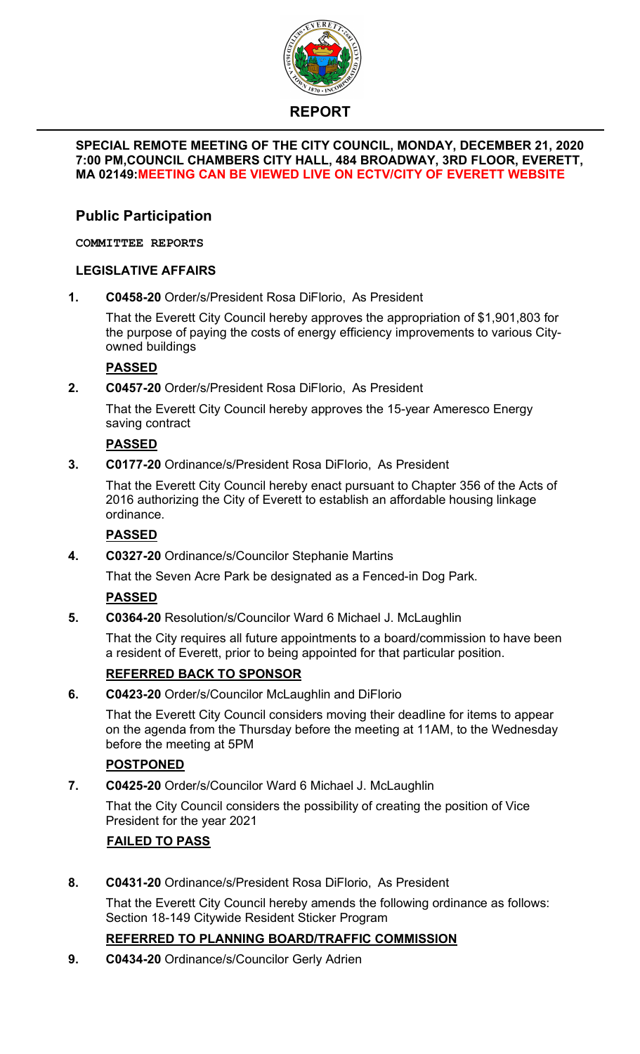

# **REPORT**

#### **SPECIAL REMOTE MEETING OF THE CITY COUNCIL, MONDAY, DECEMBER 21, 2020 7:00 PM,COUNCIL CHAMBERS CITY HALL, 484 BROADWAY, 3RD FLOOR, EVERETT, MA 02149:MEETING CAN BE VIEWED LIVE ON ECTV/CITY OF EVERETT WEBSITE**

# **Public Participation**

**COMMITTEE REPORTS**

# **LEGISLATIVE AFFAIRS**

**1. C0458-20** Order/s/President Rosa DiFlorio, As President

That the Everett City Council hereby approves the appropriation of \$1,901,803 for the purpose of paying the costs of energy efficiency improvements to various Cityowned buildings

# **PASSED**

**2. C0457-20** Order/s/President Rosa DiFlorio, As President

That the Everett City Council hereby approves the 15-year Ameresco Energy saving contract

# **PASSED**

**3. C0177-20** Ordinance/s/President Rosa DiFlorio, As President

That the Everett City Council hereby enact pursuant to Chapter 356 of the Acts of 2016 authorizing the City of Everett to establish an affordable housing linkage ordinance.

## **PASSED**

**4. C0327-20** Ordinance/s/Councilor Stephanie Martins

That the Seven Acre Park be designated as a Fenced-in Dog Park.

# **PASSED**

**5. C0364-20** Resolution/s/Councilor Ward 6 Michael J. McLaughlin

That the City requires all future appointments to a board/commission to have been a resident of Everett, prior to being appointed for that particular position.

## **REFERRED BACK TO SPONSOR**

**6. C0423-20** Order/s/Councilor McLaughlin and DiFlorio

That the Everett City Council considers moving their deadline for items to appear on the agenda from the Thursday before the meeting at 11AM, to the Wednesday before the meeting at 5PM

# **POSTPONED**

**7. C0425-20** Order/s/Councilor Ward 6 Michael J. McLaughlin

That the City Council considers the possibility of creating the position of Vice President for the year 2021

# **FAILED TO PASS**

**8. C0431-20** Ordinance/s/President Rosa DiFlorio, As President

That the Everett City Council hereby amends the following ordinance as follows: Section 18-149 Citywide Resident Sticker Program

# **REFERRED TO PLANNING BOARD/TRAFFIC COMMISSION**

**9. C0434-20** Ordinance/s/Councilor Gerly Adrien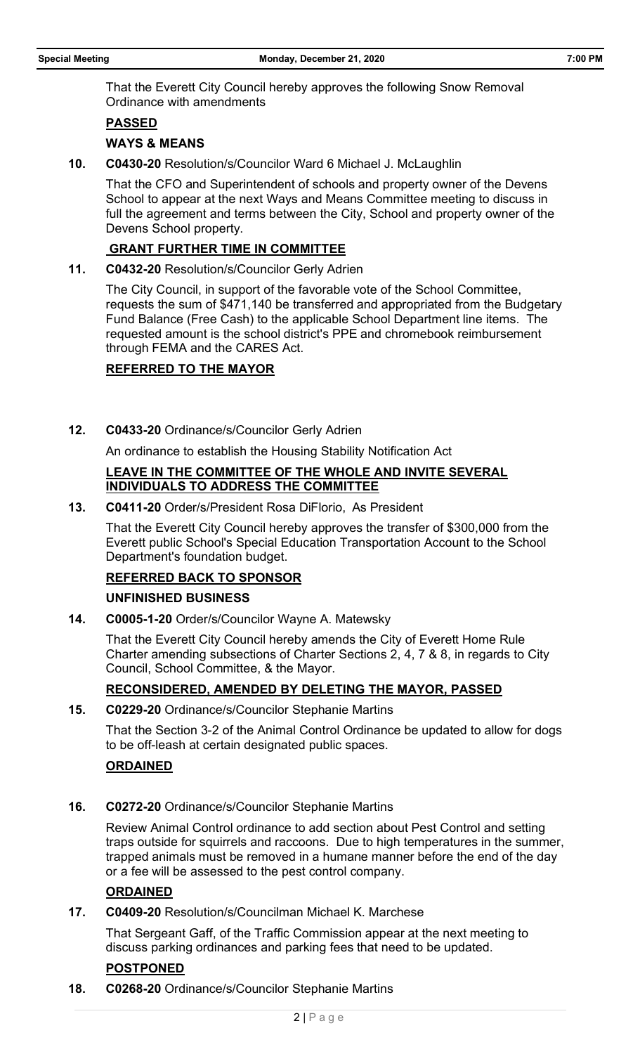That the Everett City Council hereby approves the following Snow Removal Ordinance with amendments

#### **PASSED**

#### **WAYS & MEANS**

**10. C0430-20** Resolution/s/Councilor Ward 6 Michael J. McLaughlin

That the CFO and Superintendent of schools and property owner of the Devens School to appear at the next Ways and Means Committee meeting to discuss in full the agreement and terms between the City, School and property owner of the Devens School property.

#### **GRANT FURTHER TIME IN COMMITTEE**

**11. C0432-20** Resolution/s/Councilor Gerly Adrien

The City Council, in support of the favorable vote of the School Committee, requests the sum of \$471,140 be transferred and appropriated from the Budgetary Fund Balance (Free Cash) to the applicable School Department line items. The requested amount is the school district's PPE and chromebook reimbursement through FEMA and the CARES Act.

#### **REFERRED TO THE MAYOR**

**12. C0433-20** Ordinance/s/Councilor Gerly Adrien

An ordinance to establish the Housing Stability Notification Act

#### **LEAVE IN THE COMMITTEE OF THE WHOLE AND INVITE SEVERAL INDIVIDUALS TO ADDRESS THE COMMITTEE**

**13. C0411-20** Order/s/President Rosa DiFlorio, As President

That the Everett City Council hereby approves the transfer of \$300,000 from the Everett public School's Special Education Transportation Account to the School Department's foundation budget.

#### **REFERRED BACK TO SPONSOR**

#### **UNFINISHED BUSINESS**

**14. C0005-1-20** Order/s/Councilor Wayne A. Matewsky

That the Everett City Council hereby amends the City of Everett Home Rule Charter amending subsections of Charter Sections 2, 4, 7 & 8, in regards to City Council, School Committee, & the Mayor.

#### **RECONSIDERED, AMENDED BY DELETING THE MAYOR, PASSED**

**15. C0229-20** Ordinance/s/Councilor Stephanie Martins

That the Section 3-2 of the Animal Control Ordinance be updated to allow for dogs to be off-leash at certain designated public spaces.

### **ORDAINED**

**16. C0272-20** Ordinance/s/Councilor Stephanie Martins

Review Animal Control ordinance to add section about Pest Control and setting traps outside for squirrels and raccoons. Due to high temperatures in the summer, trapped animals must be removed in a humane manner before the end of the day or a fee will be assessed to the pest control company.

#### **ORDAINED**

**17. C0409-20** Resolution/s/Councilman Michael K. Marchese

That Sergeant Gaff, of the Traffic Commission appear at the next meeting to discuss parking ordinances and parking fees that need to be updated.

### **POSTPONED**

**18. C0268-20** Ordinance/s/Councilor Stephanie Martins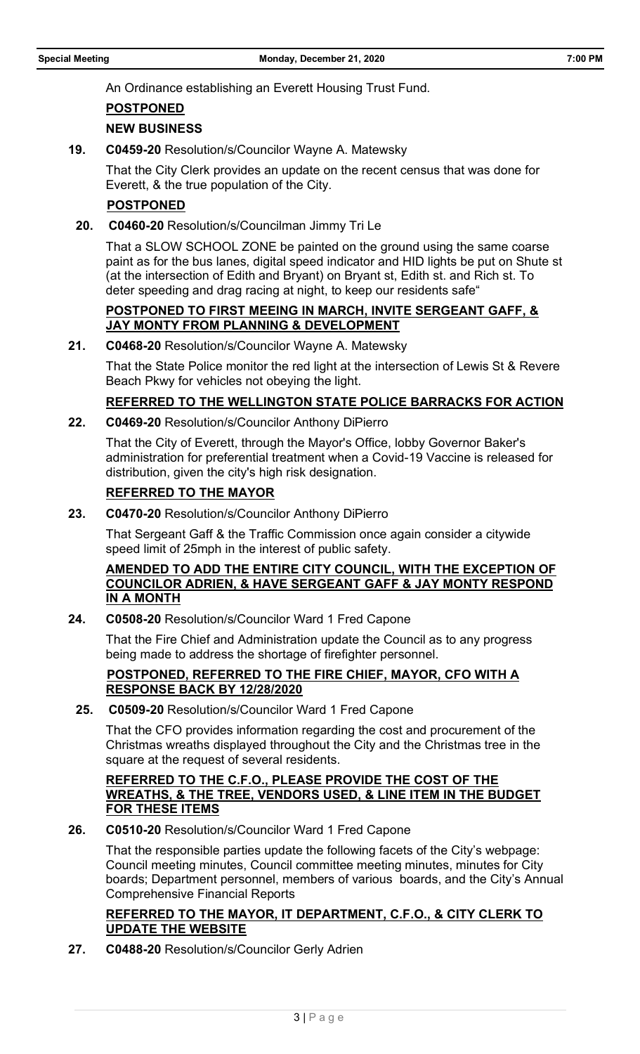An Ordinance establishing an Everett Housing Trust Fund.

### **POSTPONED**

### **NEW BUSINESS**

**19. C0459-20** Resolution/s/Councilor Wayne A. Matewsky

That the City Clerk provides an update on the recent census that was done for Everett, & the true population of the City.

### **POSTPONED**

**20. C0460-20** Resolution/s/Councilman Jimmy Tri Le

That a SLOW SCHOOL ZONE be painted on the ground using the same coarse paint as for the bus lanes, digital speed indicator and HID lights be put on Shute st (at the intersection of Edith and Bryant) on Bryant st, Edith st. and Rich st. To deter speeding and drag racing at night, to keep our residents safe"

#### **POSTPONED TO FIRST MEEING IN MARCH, INVITE SERGEANT GAFF, & JAY MONTY FROM PLANNING & DEVELOPMENT**

**21. C0468-20** Resolution/s/Councilor Wayne A. Matewsky

That the State Police monitor the red light at the intersection of Lewis St & Revere Beach Pkwy for vehicles not obeying the light.

### **REFERRED TO THE WELLINGTON STATE POLICE BARRACKS FOR ACTION**

**22. C0469-20** Resolution/s/Councilor Anthony DiPierro

That the City of Everett, through the Mayor's Office, lobby Governor Baker's administration for preferential treatment when a Covid-19 Vaccine is released for distribution, given the city's high risk designation.

## **REFERRED TO THE MAYOR**

**23. C0470-20** Resolution/s/Councilor Anthony DiPierro

That Sergeant Gaff & the Traffic Commission once again consider a citywide speed limit of 25mph in the interest of public safety.

### **AMENDED TO ADD THE ENTIRE CITY COUNCIL, WITH THE EXCEPTION OF COUNCILOR ADRIEN, & HAVE SERGEANT GAFF & JAY MONTY RESPOND IN A MONTH**

**24. C0508-20** Resolution/s/Councilor Ward 1 Fred Capone

That the Fire Chief and Administration update the Council as to any progress being made to address the shortage of firefighter personnel.

### **POSTPONED, REFERRED TO THE FIRE CHIEF, MAYOR, CFO WITH A RESPONSE BACK BY 12/28/2020**

**25. C0509-20** Resolution/s/Councilor Ward 1 Fred Capone

That the CFO provides information regarding the cost and procurement of the Christmas wreaths displayed throughout the City and the Christmas tree in the square at the request of several residents.

#### **REFERRED TO THE C.F.O., PLEASE PROVIDE THE COST OF THE WREATHS, & THE TREE, VENDORS USED, & LINE ITEM IN THE BUDGET FOR THESE ITEMS**

**26. C0510-20** Resolution/s/Councilor Ward 1 Fred Capone

That the responsible parties update the following facets of the City's webpage: Council meeting minutes, Council committee meeting minutes, minutes for City boards; Department personnel, members of various boards, and the City's Annual Comprehensive Financial Reports

### **REFERRED TO THE MAYOR, IT DEPARTMENT, C.F.O., & CITY CLERK TO UPDATE THE WEBSITE**

**27. C0488-20** Resolution/s/Councilor Gerly Adrien